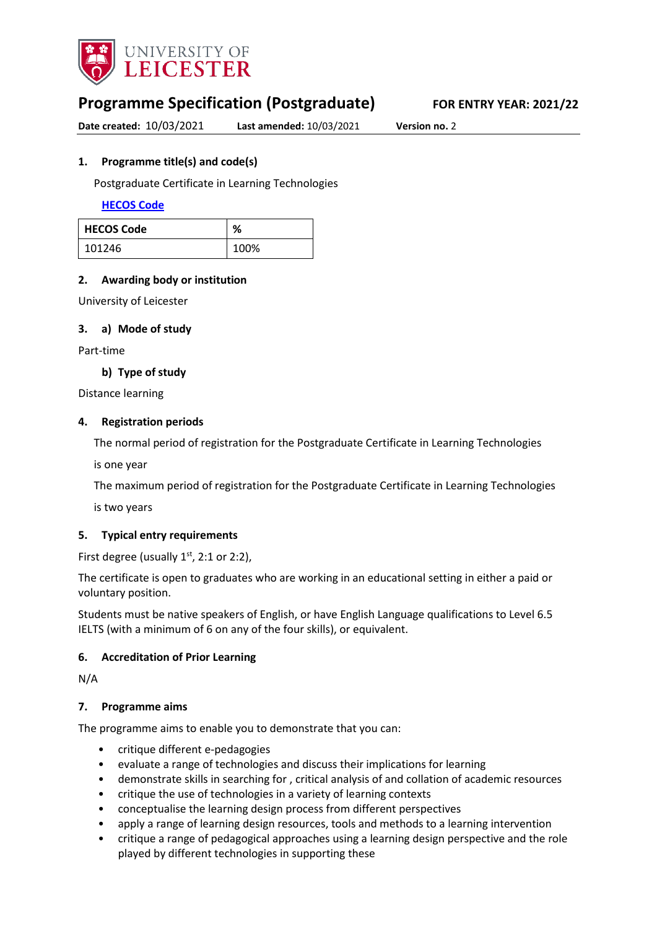

# **Programme Specification (Postgraduate) FOR ENTRY YEAR: 2021/22**

**Date created:** 10/03/2021 **Last amended:** 10/03/2021 **Version no.** 2

### <span id="page-0-0"></span>**1. Programme title(s) and code(s)**

Postgraduate Certificate in Learning Technologies

**[HECOS Code](https://www.hesa.ac.uk/innovation/hecos)**

| <b>HECOS Code</b> | %    |
|-------------------|------|
| 101246            | 100% |

# **2. Awarding body or institution**

University of Leicester

### **3. a) Mode of study**

Part-time

**b) Type of study**

Distance learning

### **4. Registration periods**

The normal period of registration for the Postgraduate Certificate in Learning Technologies

is one year

The maximum period of registration for the Postgraduate Certificate in Learning Technologies

is two years

### **5. Typical entry requirements**

First degree (usually  $1<sup>st</sup>$ , 2:1 or 2:2),

The certificate is open to graduates who are working in an educational setting in either a paid or voluntary position.

Students must be native speakers of English, or have English Language qualifications to Level 6.5 IELTS (with a minimum of 6 on any of the four skills), or equivalent.

### **6. Accreditation of Prior Learning**

N/A

### **7. Programme aims**

The programme aims to enable you to demonstrate that you can:

- critique different e-pedagogies
- evaluate a range of technologies and discuss their implications for learning
- demonstrate skills in searching for , critical analysis of and collation of academic resources
- critique the use of technologies in a variety of learning contexts
- conceptualise the learning design process from different perspectives
- apply a range of learning design resources, tools and methods to a learning intervention
- critique a range of pedagogical approaches using a learning design perspective and the role played by different technologies in supporting these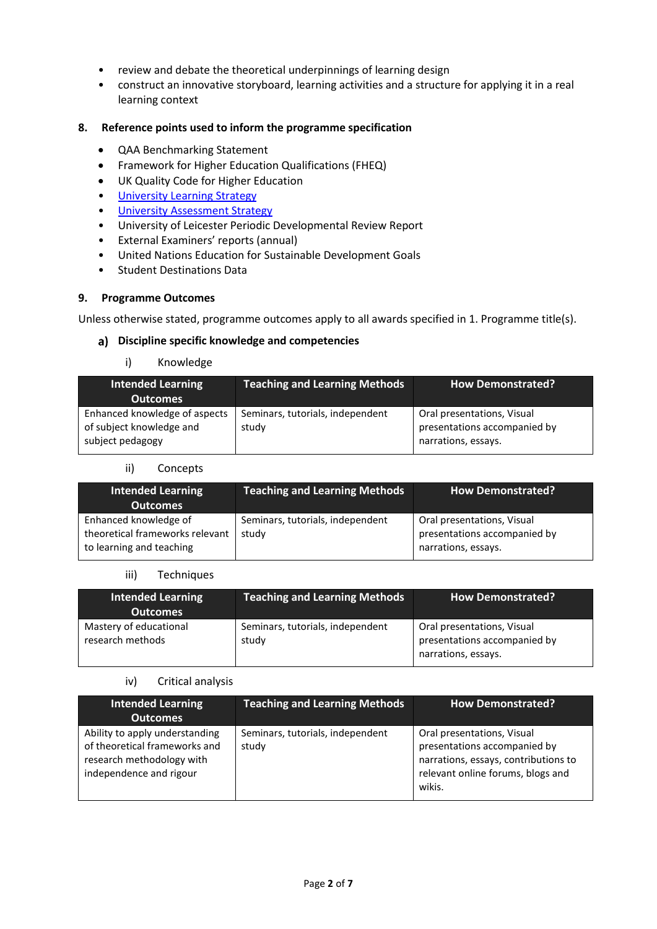- review and debate the theoretical underpinnings of learning design
- construct an innovative storyboard, learning activities and a structure for applying it in a real learning context

### **8. Reference points used to inform the programme specification**

- QAA Benchmarking Statement
- Framework for Higher Education Qualifications (FHEQ)
- UK Quality Code for Higher Education
- [University Learning](https://www2.le.ac.uk/offices/sas2/quality/learnteach) Strategy
- [University Assessment Strategy](https://www2.le.ac.uk/offices/sas2/quality/learnteach)
- University of Leicester Periodic Developmental Review Report
- External Examiners' reports (annual)
- United Nations Education for Sustainable Development Goals
- Student Destinations Data

### **9. Programme Outcomes**

Unless otherwise stated, programme outcomes apply to all awards specified in [1.](#page-0-0) Programme title(s).

### **Discipline specific knowledge and competencies**

### i) Knowledge

| Intended Learning<br><b>Outcomes</b>                                          | <b>Teaching and Learning Methods</b>      | <b>How Demonstrated?</b>                                                          |
|-------------------------------------------------------------------------------|-------------------------------------------|-----------------------------------------------------------------------------------|
| Enhanced knowledge of aspects<br>of subject knowledge and<br>subject pedagogy | Seminars, tutorials, independent<br>study | Oral presentations, Visual<br>presentations accompanied by<br>narrations, essays. |

#### ii) Concepts

| <b>Intended Learning</b><br><b>Outcomes</b>                                          | <b>Teaching and Learning Methods</b>      | <b>How Demonstrated?</b>                                                          |
|--------------------------------------------------------------------------------------|-------------------------------------------|-----------------------------------------------------------------------------------|
| Enhanced knowledge of<br>theoretical frameworks relevant<br>to learning and teaching | Seminars, tutorials, independent<br>study | Oral presentations, Visual<br>presentations accompanied by<br>narrations, essays. |

### iii) Techniques

| <b>Intended Learning</b><br><b>Outcomes</b> | <b>Teaching and Learning Methods</b>      | <b>How Demonstrated?</b>                                                          |
|---------------------------------------------|-------------------------------------------|-----------------------------------------------------------------------------------|
| Mastery of educational<br>research methods  | Seminars, tutorials, independent<br>study | Oral presentations, Visual<br>presentations accompanied by<br>narrations, essays. |

### iv) Critical analysis

| <b>Intended Learning</b><br><b>Outcomes</b>                                                                             | <b>Teaching and Learning Methods</b>      | <b>How Demonstrated?</b>                                                                                                                          |
|-------------------------------------------------------------------------------------------------------------------------|-------------------------------------------|---------------------------------------------------------------------------------------------------------------------------------------------------|
| Ability to apply understanding<br>of theoretical frameworks and<br>research methodology with<br>independence and rigour | Seminars, tutorials, independent<br>study | Oral presentations, Visual<br>presentations accompanied by<br>narrations, essays, contributions to<br>relevant online forums, blogs and<br>wikis. |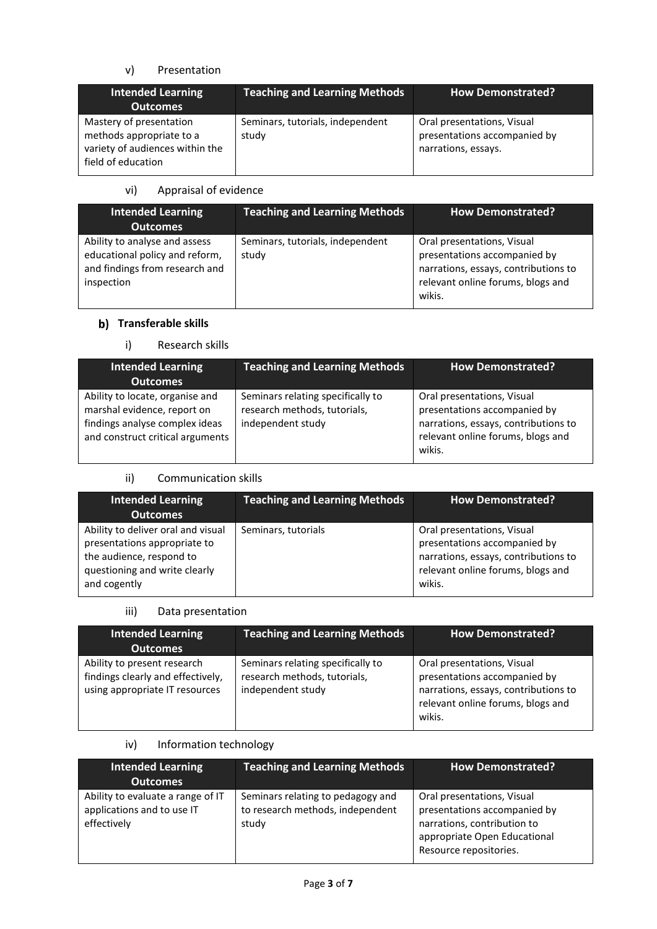# v) Presentation

| <b>Intended Learning</b><br><b>Outcomes</b>                                                                  | <b>Teaching and Learning Methods</b>      | <b>How Demonstrated?</b>                                                          |
|--------------------------------------------------------------------------------------------------------------|-------------------------------------------|-----------------------------------------------------------------------------------|
| Mastery of presentation<br>methods appropriate to a<br>variety of audiences within the<br>field of education | Seminars, tutorials, independent<br>study | Oral presentations, Visual<br>presentations accompanied by<br>narrations, essays. |

### vi) Appraisal of evidence

| <b>Intended Learning</b><br><b>Outcomes</b>                                                                     | <b>Teaching and Learning Methods</b>      | <b>How Demonstrated?</b>                                                                                                                          |
|-----------------------------------------------------------------------------------------------------------------|-------------------------------------------|---------------------------------------------------------------------------------------------------------------------------------------------------|
| Ability to analyse and assess<br>educational policy and reform,<br>and findings from research and<br>inspection | Seminars, tutorials, independent<br>study | Oral presentations, Visual<br>presentations accompanied by<br>narrations, essays, contributions to<br>relevant online forums, blogs and<br>wikis. |

# **b)** Transferable skills

# i) Research skills

| <b>Intended Learning</b><br><b>Outcomes</b>                                                                                          | <b>Teaching and Learning Methods</b>                                                   | <b>How Demonstrated?</b>                                                                                                                          |
|--------------------------------------------------------------------------------------------------------------------------------------|----------------------------------------------------------------------------------------|---------------------------------------------------------------------------------------------------------------------------------------------------|
| Ability to locate, organise and<br>marshal evidence, report on<br>findings analyse complex ideas<br>and construct critical arguments | Seminars relating specifically to<br>research methods, tutorials,<br>independent study | Oral presentations, Visual<br>presentations accompanied by<br>narrations, essays, contributions to<br>relevant online forums, blogs and<br>wikis. |

# ii) Communication skills

| <b>Intended Learning</b><br><b>Outcomes</b>                                                                                                     | <b>Teaching and Learning Methods</b> | <b>How Demonstrated?</b>                                                                                                                          |
|-------------------------------------------------------------------------------------------------------------------------------------------------|--------------------------------------|---------------------------------------------------------------------------------------------------------------------------------------------------|
| Ability to deliver oral and visual<br>presentations appropriate to<br>the audience, respond to<br>questioning and write clearly<br>and cogently | Seminars, tutorials                  | Oral presentations, Visual<br>presentations accompanied by<br>narrations, essays, contributions to<br>relevant online forums, blogs and<br>wikis. |

# iii) Data presentation

| <b>Intended Learning</b><br><b>Outcomes</b>                                                        | <b>Teaching and Learning Methods</b>                                                   | <b>How Demonstrated?</b>                                                                                                                          |
|----------------------------------------------------------------------------------------------------|----------------------------------------------------------------------------------------|---------------------------------------------------------------------------------------------------------------------------------------------------|
| Ability to present research<br>findings clearly and effectively,<br>using appropriate IT resources | Seminars relating specifically to<br>research methods, tutorials,<br>independent study | Oral presentations, Visual<br>presentations accompanied by<br>narrations, essays, contributions to<br>relevant online forums, blogs and<br>wikis. |

# iv) Information technology

| <b>Intended Learning</b>                                                       | <b>Teaching and Learning Methods</b>                                           | <b>How Demonstrated?</b>                                                                                                                            |
|--------------------------------------------------------------------------------|--------------------------------------------------------------------------------|-----------------------------------------------------------------------------------------------------------------------------------------------------|
| <b>Outcomes</b>                                                                |                                                                                |                                                                                                                                                     |
| Ability to evaluate a range of IT<br>applications and to use IT<br>effectively | Seminars relating to pedagogy and<br>to research methods, independent<br>study | Oral presentations, Visual<br>presentations accompanied by<br>narrations, contribution to<br>appropriate Open Educational<br>Resource repositories. |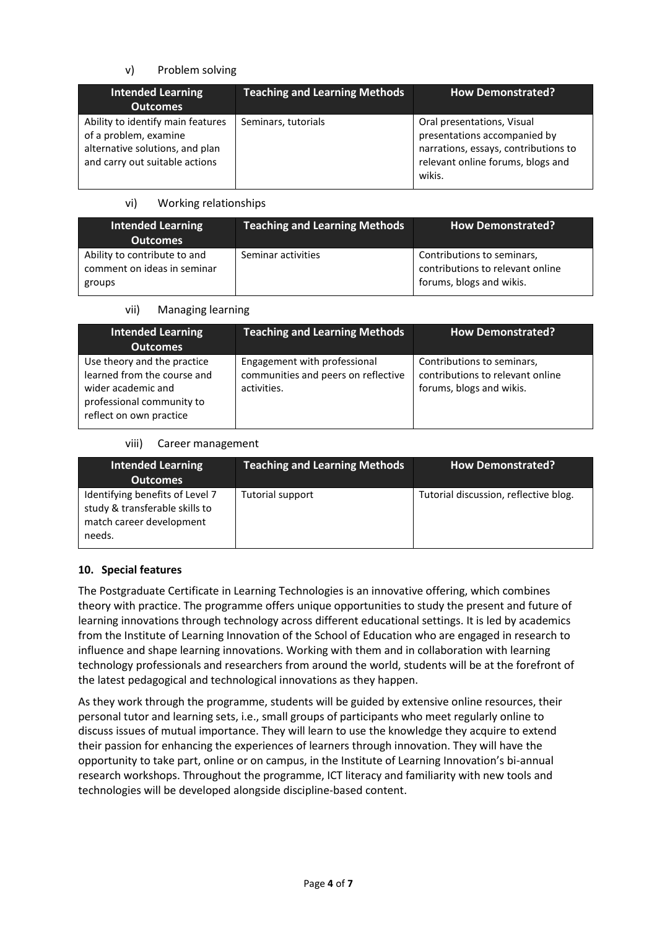# v) Problem solving

| <b>Intended Learning</b><br><b>Outcomes</b>                                                                                     | <b>Teaching and Learning Methods</b> | <b>How Demonstrated?</b>                                                                                                                          |
|---------------------------------------------------------------------------------------------------------------------------------|--------------------------------------|---------------------------------------------------------------------------------------------------------------------------------------------------|
| Ability to identify main features<br>of a problem, examine<br>alternative solutions, and plan<br>and carry out suitable actions | Seminars, tutorials                  | Oral presentations, Visual<br>presentations accompanied by<br>narrations, essays, contributions to<br>relevant online forums, blogs and<br>wikis. |

### vi) Working relationships

| <b>Intended Learning</b><br><b>Outcomes</b>                           | <b>Teaching and Learning Methods</b> | <b>How Demonstrated?</b>                                                                   |
|-----------------------------------------------------------------------|--------------------------------------|--------------------------------------------------------------------------------------------|
| Ability to contribute to and<br>comment on ideas in seminar<br>groups | Seminar activities                   | Contributions to seminars,<br>contributions to relevant online<br>forums, blogs and wikis. |

### vii) Managing learning

| <b>Intended Learning</b><br><b>Outcomes</b>                                                                                              | <b>Teaching and Learning Methods</b>                                               | <b>How Demonstrated?</b>                                                                   |
|------------------------------------------------------------------------------------------------------------------------------------------|------------------------------------------------------------------------------------|--------------------------------------------------------------------------------------------|
| Use theory and the practice<br>learned from the course and<br>wider academic and<br>professional community to<br>reflect on own practice | Engagement with professional<br>communities and peers on reflective<br>activities. | Contributions to seminars,<br>contributions to relevant online<br>forums, blogs and wikis. |

### viii) Career management

| Intended Learning<br><b>Outcomes</b>                                                                    | <b>Teaching and Learning Methods</b> | <b>How Demonstrated?</b>              |
|---------------------------------------------------------------------------------------------------------|--------------------------------------|---------------------------------------|
| Identifying benefits of Level 7<br>study & transferable skills to<br>match career development<br>needs. | Tutorial support                     | Tutorial discussion, reflective blog. |

# **10. Special features**

The Postgraduate Certificate in Learning Technologies is an innovative offering, which combines theory with practice. The programme offers unique opportunities to study the present and future of learning innovations through technology across different educational settings. It is led by academics from the Institute of Learning Innovation of the School of Education who are engaged in research to influence and shape learning innovations. Working with them and in collaboration with learning technology professionals and researchers from around the world, students will be at the forefront of the latest pedagogical and technological innovations as they happen.

As they work through the programme, students will be guided by extensive online resources, their personal tutor and learning sets, i.e., small groups of participants who meet regularly online to discuss issues of mutual importance. They will learn to use the knowledge they acquire to extend their passion for enhancing the experiences of learners through innovation. They will have the opportunity to take part, online or on campus, in the Institute of Learning Innovation's bi-annual research workshops. Throughout the programme, ICT literacy and familiarity with new tools and technologies will be developed alongside discipline-based content.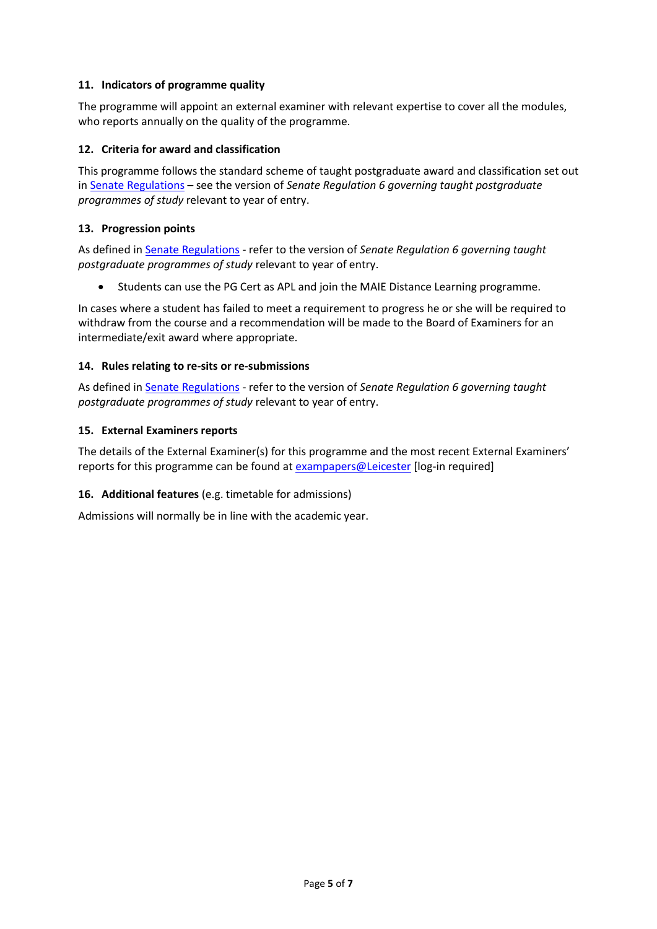### **11. Indicators of programme quality**

The programme will appoint an external examiner with relevant expertise to cover all the modules, who reports annually on the quality of the programme.

### **12. Criteria for award and classification**

This programme follows the standard scheme of taught postgraduate award and classification set out i[n Senate Regulations](http://www.le.ac.uk/senate-regulations) – see the version of *Senate Regulation 6 governing taught postgraduate programmes of study* relevant to year of entry.

### **13. Progression points**

As defined i[n Senate Regulations](http://www.le.ac.uk/senate-regulation6) - refer to the version of *Senate Regulation 6 governing taught postgraduate programmes of study* relevant to year of entry.

Students can use the PG Cert as APL and join the MAIE Distance Learning programme.

In cases where a student has failed to meet a requirement to progress he or she will be required to withdraw from the course and a recommendation will be made to the Board of Examiners for an intermediate/exit award where appropriate.

### **14. Rules relating to re-sits or re-submissions**

As defined i[n Senate Regulations](http://www.le.ac.uk/senate-regulation6) - refer to the version of *Senate Regulation 6 governing taught postgraduate programmes of study* relevant to year of entry.

### **15. External Examiners reports**

The details of the External Examiner(s) for this programme and the most recent External Examiners' reports for this programme can be found at [exampapers@Leicester](https://exampapers.le.ac.uk/) [log-in required]

# **16. Additional features** (e.g. timetable for admissions)

Admissions will normally be in line with the academic year.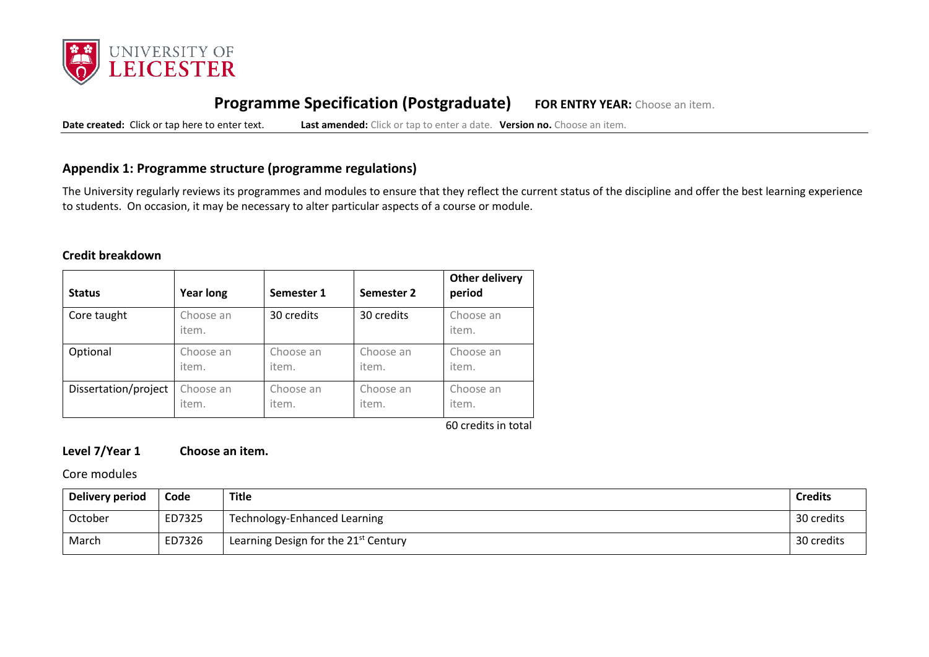

# **Programme Specification (Postgraduate) FOR ENTRY YEAR:** Choose an item.

**Date created:** Click or tap here to enter text. **Last amended:** Click or tap to enter a date. **Version no.** Choose an item.

# **Appendix 1: Programme structure (programme regulations)**

The University regularly reviews its programmes and modules to ensure that they reflect the current status of the discipline and offer the best learning experience to students. On occasion, it may be necessary to alter particular aspects of a course or module.

### **Credit breakdown**

| <b>Status</b>        | <b>Year long</b>   | Semester 1 | Semester 2 | <b>Other delivery</b><br>period |
|----------------------|--------------------|------------|------------|---------------------------------|
| Core taught          | Choose an<br>item. | 30 credits | 30 credits | Choose an<br>item.              |
| Optional             | Choose an          | Choose an  | Choose an  | Choose an                       |
|                      | item.              | item.      | item.      | item.                           |
| Dissertation/project | Choose an          | Choose an  | Choose an  | Choose an                       |
|                      | item.              | item.      | item.      | item.                           |

60 credits in total

# **Level 7/Year 1 Choose an item.**

Core modules

| Delivery period | Code   | Title                                            | <b>Credits</b> |
|-----------------|--------|--------------------------------------------------|----------------|
| October         | ED7325 | Technology-Enhanced Learning                     | 30 credits     |
| March           | ED7326 | Learning Design for the 21 <sup>st</sup> Century | 30 credits     |